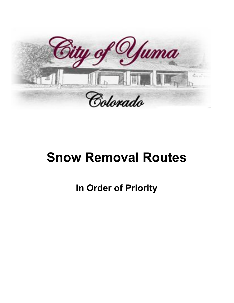

# **Snow Removal Routes**

**In Order of Priority**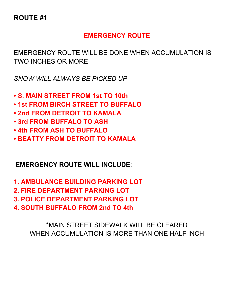#### **EMERGENCY ROUTE**

EMERGENCY ROUTE WILL BE DONE WHEN ACCUMULATION IS TWO INCHES OR MORE

*SNOW WILL ALWAYS BE PICKED UP*

- **• S. MAIN STREET FROM 1st TO 10th**
- **• 1st FROM BIRCH STREET TO BUFFALO**
- **• 2nd FROM DETROIT TO KAMALA**
- **• 3rd FROM BUFFALO TO ASH**
- **• 4th FROM ASH TO BUFFALO**
- **• BEATTY FROM DETROIT TO KAMALA**

#### **EMERGENCY ROUTE WILL INCLUDE**:

- **1. AMBULANCE BUILDING PARKING LOT**
- **2. FIRE DEPARTMENT PARKING LOT**
- **3. POLICE DEPARTMENT PARKING LOT**
- **4. SOUTH BUFFALO FROM 2nd TO 4th**

\*MAIN STREET SIDEWALK WILL BE CLEARED WHEN ACCUMULATION IS MORE THAN ONE HALF INCH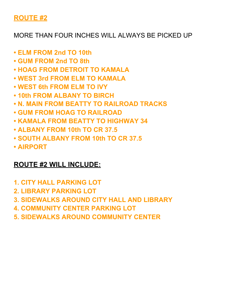#### MORE THAN FOUR INCHES WILL ALWAYS BE PICKED UP

- **• ELM FROM 2nd TO 10th**
- **• GUM FROM 2nd TO 8th**
- **• HOAG FROM DETROIT TO KAMALA**
- **• WEST 3rd FROM ELM TO KAMALA**
- **• WEST 6th FROM ELM TO IVY**
- **• 10th FROM ALBANY TO BIRCH**
- **• N. MAIN FROM BEATTY TO RAILROAD TRACKS**
- **• GUM FROM HOAG TO RAILROAD**
- **• KAMALA FROM BEATTY TO HIGHWAY 34**
- **• ALBANY FROM 10th TO CR 37.5**
- **• SOUTH ALBANY FROM 10th TO CR 37.5**
- **• AIRPORT**

#### **ROUTE #2 WILL INCLUDE:**

- **1. CITY HALL PARKING LOT**
- **2. LIBRARY PARKING LOT**
- **3. SIDEWALKS AROUND CITY HALL AND LIBRARY**
- **4. COMMUNITY CENTER PARKING LOT**
- **5. SIDEWALKS AROUND COMMUNITY CENTER**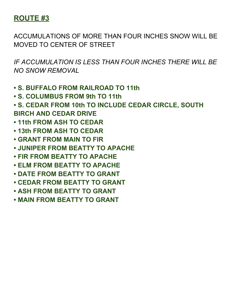ACCUMULATIONS OF MORE THAN FOUR INCHES SNOW WILL BE MOVED TO CENTER OF STREET

- **• S. BUFFALO FROM RAILROAD TO 11th**
- **• S. COLUMBUS FROM 9th TO 11th**
- **• S. CEDAR FROM 10th TO INCLUDE CEDAR CIRCLE, SOUTH BIRCH AND CEDAR DRIVE**
- **• 11th FROM ASH TO CEDAR**
- **• 13th FROM ASH TO CEDAR**
- **• GRANT FROM MAIN TO FIR**
- **• JUNIPER FROM BEATTY TO APACHE**
- **• FIR FROM BEATTY TO APACHE**
- **• ELM FROM BEATTY TO APACHE**
- **• DATE FROM BEATTY TO GRANT**
- **• CEDAR FROM BEATTY TO GRANT**
- **• ASH FROM BEATTY TO GRANT**
- **• MAIN FROM BEATTY TO GRANT**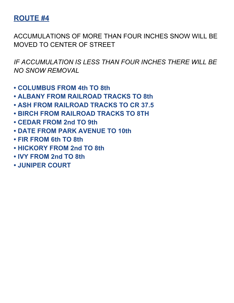ACCUMULATIONS OF MORE THAN FOUR INCHES SNOW WILL BE MOVED TO CENTER OF STREET

- **• COLUMBUS FROM 4th TO 8th**
- **• ALBANY FROM RAILROAD TRACKS TO 8th**
- **• ASH FROM RAILROAD TRACKS TO CR 37.5**
- **• BIRCH FROM RAILROAD TRACKS TO 8TH**
- **• CEDAR FROM 2nd TO 9th**
- **• DATE FROM PARK AVENUE TO 10th**
- **• FIR FROM 6th TO 8th**
- **• HICKORY FROM 2nd TO 8th**
- **• IVY FROM 2nd TO 8th**
- **• JUNIPER COURT**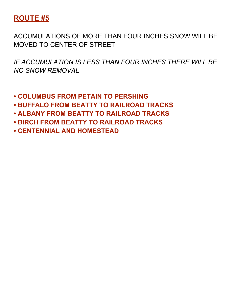ACCUMULATIONS OF MORE THAN FOUR INCHES SNOW WILL BE MOVED TO CENTER OF STREET

- **• COLUMBUS FROM PETAIN TO PERSHING**
- **• BUFFALO FROM BEATTY TO RAILROAD TRACKS**
- **• ALBANY FROM BEATTY TO RAILROAD TRACKS**
- **• BIRCH FROM BEATTY TO RAILROAD TRACKS**
- **• CENTENNIAL AND HOMESTEAD**